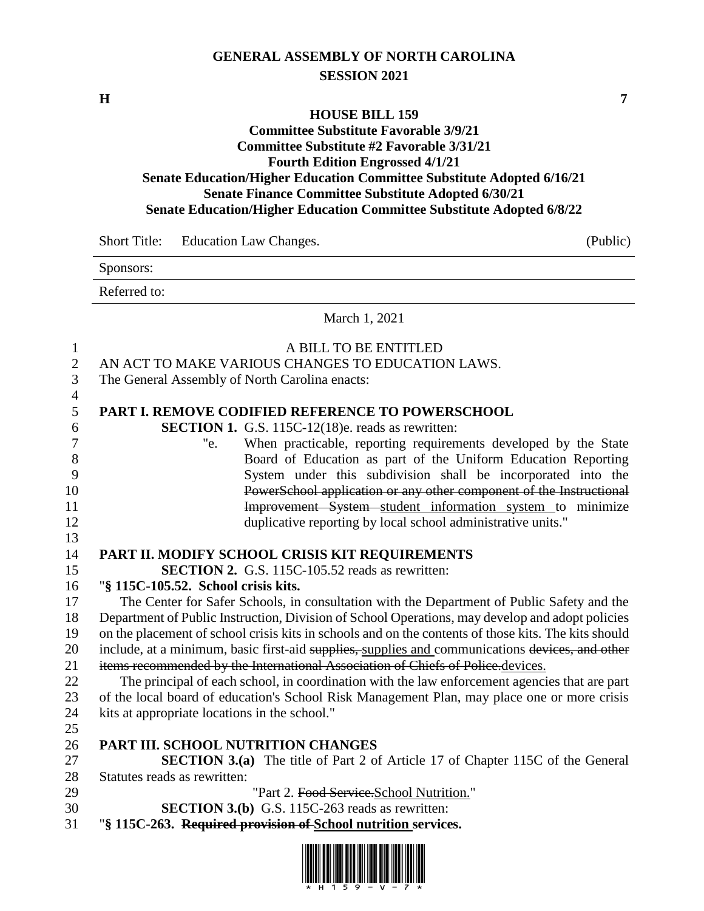## **GENERAL ASSEMBLY OF NORTH CAROLINA SESSION 2021**

**H 7**

## **HOUSE BILL 159**

## **Committee Substitute Favorable 3/9/21 Committee Substitute #2 Favorable 3/31/21 Fourth Edition Engrossed 4/1/21 Senate Education/Higher Education Committee Substitute Adopted 6/16/21 Senate Finance Committee Substitute Adopted 6/30/21 Senate Education/Higher Education Committee Substitute Adopted 6/8/22**

Short Title: Education Law Changes. (Public) Sponsors: Referred to: March 1, 2021

 A BILL TO BE ENTITLED AN ACT TO MAKE VARIOUS CHANGES TO EDUCATION LAWS. The General Assembly of North Carolina enacts: **PART I. REMOVE CODIFIED REFERENCE TO POWERSCHOOL SECTION 1.** G.S. 115C-12(18)e. reads as rewritten: "e. When practicable, reporting requirements developed by the State Board of Education as part of the Uniform Education Reporting System under this subdivision shall be incorporated into the PowerSchool application or any other component of the Instructional **Improvement System** student information system to minimize duplicative reporting by local school administrative units." **PART II. MODIFY SCHOOL CRISIS KIT REQUIREMENTS SECTION 2.** G.S. 115C-105.52 reads as rewritten: "**§ 115C-105.52. School crisis kits.** The Center for Safer Schools, in consultation with the Department of Public Safety and the Department of Public Instruction, Division of School Operations, may develop and adopt policies on the placement of school crisis kits in schools and on the contents of those kits. The kits should 20 include, at a minimum, basic first-aid supplies, supplies and communications devices, and other 21 items recommended by the International Association of Chiefs of Police.devices. The principal of each school, in coordination with the law enforcement agencies that are part of the local board of education's School Risk Management Plan, may place one or more crisis kits at appropriate locations in the school." **PART III. SCHOOL NUTRITION CHANGES SECTION 3.(a)** The title of Part 2 of Article 17 of Chapter 115C of the General Statutes reads as rewritten: 29 "Part 2. Food Service. School Nutrition." **SECTION 3.(b)** G.S. 115C-263 reads as rewritten: "**§ 115C-263. Required provision of School nutrition services.**

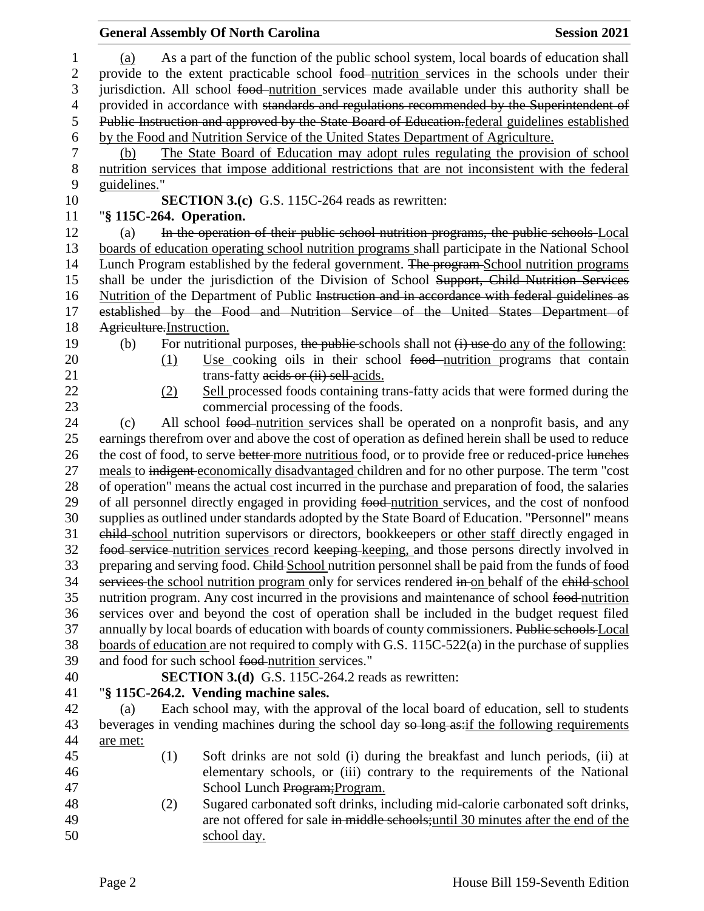|                        |                                                                                                                                                                                                                                                                                               |                                                                                                 | <b>General Assembly Of North Carolina</b>                                                                                                                                                      | <b>Session 2021</b> |  |
|------------------------|-----------------------------------------------------------------------------------------------------------------------------------------------------------------------------------------------------------------------------------------------------------------------------------------------|-------------------------------------------------------------------------------------------------|------------------------------------------------------------------------------------------------------------------------------------------------------------------------------------------------|---------------------|--|
| $\mathbf{1}$<br>2<br>3 | As a part of the function of the public school system, local boards of education shall<br>(a)<br>provide to the extent practicable school food nutrition services in the schools under their<br>jurisdiction. All school food-nutrition services made available under this authority shall be |                                                                                                 |                                                                                                                                                                                                |                     |  |
| $\overline{4}$         |                                                                                                                                                                                                                                                                                               |                                                                                                 | provided in accordance with standards and regulations recommended by the Superintendent of                                                                                                     |                     |  |
| 5                      |                                                                                                                                                                                                                                                                                               |                                                                                                 | Public Instruction and approved by the State Board of Education. federal guidelines established                                                                                                |                     |  |
| 6                      |                                                                                                                                                                                                                                                                                               |                                                                                                 | by the Food and Nutrition Service of the United States Department of Agriculture.                                                                                                              |                     |  |
| $\boldsymbol{7}$       | (b)                                                                                                                                                                                                                                                                                           |                                                                                                 | The State Board of Education may adopt rules regulating the provision of school                                                                                                                |                     |  |
| $8\,$                  |                                                                                                                                                                                                                                                                                               |                                                                                                 | nutrition services that impose additional restrictions that are not inconsistent with the federal                                                                                              |                     |  |
| 9                      | guidelines."                                                                                                                                                                                                                                                                                  |                                                                                                 |                                                                                                                                                                                                |                     |  |
| 10                     |                                                                                                                                                                                                                                                                                               |                                                                                                 | <b>SECTION 3.(c)</b> G.S. 115C-264 reads as rewritten:                                                                                                                                         |                     |  |
| 11                     |                                                                                                                                                                                                                                                                                               |                                                                                                 | "§ 115C-264. Operation.                                                                                                                                                                        |                     |  |
| 12<br>13               | (a)                                                                                                                                                                                                                                                                                           |                                                                                                 | In the operation of their public school nutrition programs, the public schools Local                                                                                                           |                     |  |
| 14                     |                                                                                                                                                                                                                                                                                               |                                                                                                 | boards of education operating school nutrition programs shall participate in the National School<br>Lunch Program established by the federal government. The program-School nutrition programs |                     |  |
| 15                     |                                                                                                                                                                                                                                                                                               |                                                                                                 | shall be under the jurisdiction of the Division of School Support, Child Nutrition Services                                                                                                    |                     |  |
| 16                     |                                                                                                                                                                                                                                                                                               |                                                                                                 | Nutrition of the Department of Public Instruction and in accordance with federal guidelines as                                                                                                 |                     |  |
| 17                     |                                                                                                                                                                                                                                                                                               |                                                                                                 | established by the Food and Nutrition Service of the United States Department of                                                                                                               |                     |  |
| 18                     | Agriculture. Instruction.                                                                                                                                                                                                                                                                     |                                                                                                 |                                                                                                                                                                                                |                     |  |
| 19                     | (b)                                                                                                                                                                                                                                                                                           |                                                                                                 | For nutritional purposes, the public-schools shall not $(i)$ use do any of the following:                                                                                                      |                     |  |
| 20                     |                                                                                                                                                                                                                                                                                               | (1)                                                                                             | Use cooking oils in their school food-nutrition programs that contain                                                                                                                          |                     |  |
| 21                     |                                                                                                                                                                                                                                                                                               |                                                                                                 | trans-fatty acids or (ii) sell-acids.                                                                                                                                                          |                     |  |
| 22                     |                                                                                                                                                                                                                                                                                               | (2)                                                                                             | Sell processed foods containing trans-fatty acids that were formed during the                                                                                                                  |                     |  |
| 23                     |                                                                                                                                                                                                                                                                                               |                                                                                                 | commercial processing of the foods.                                                                                                                                                            |                     |  |
| 24                     | (c)                                                                                                                                                                                                                                                                                           |                                                                                                 | All school food-nutrition services shall be operated on a nonprofit basis, and any                                                                                                             |                     |  |
| 25                     |                                                                                                                                                                                                                                                                                               |                                                                                                 | earnings therefrom over and above the cost of operation as defined herein shall be used to reduce                                                                                              |                     |  |
| 26                     |                                                                                                                                                                                                                                                                                               |                                                                                                 | the cost of food, to serve better more nutritious food, or to provide free or reduced-price lunches                                                                                            |                     |  |
| 27                     |                                                                                                                                                                                                                                                                                               |                                                                                                 | meals to indigent-economically disadvantaged children and for no other purpose. The term "cost                                                                                                 |                     |  |
| $28\,$                 | of operation" means the actual cost incurred in the purchase and preparation of food, the salaries                                                                                                                                                                                            |                                                                                                 |                                                                                                                                                                                                |                     |  |
| 29                     |                                                                                                                                                                                                                                                                                               |                                                                                                 | of all personnel directly engaged in providing food-nutrition services, and the cost of nonfood                                                                                                |                     |  |
| 30                     |                                                                                                                                                                                                                                                                                               |                                                                                                 | supplies as outlined under standards adopted by the State Board of Education. "Personnel" means                                                                                                |                     |  |
| 31                     |                                                                                                                                                                                                                                                                                               |                                                                                                 | ehild-school nutrition supervisors or directors, bookkeepers or other staff directly engaged in                                                                                                |                     |  |
| 32                     |                                                                                                                                                                                                                                                                                               |                                                                                                 | food service nutrition services record keeping keeping, and those persons directly involved in                                                                                                 |                     |  |
| 33                     |                                                                                                                                                                                                                                                                                               |                                                                                                 | preparing and serving food. Child School nutrition personnel shall be paid from the funds of food                                                                                              |                     |  |
| 34                     |                                                                                                                                                                                                                                                                                               |                                                                                                 | services the school nutrition program only for services rendered in on behalf of the child-school                                                                                              |                     |  |
| 35                     |                                                                                                                                                                                                                                                                                               | nutrition program. Any cost incurred in the provisions and maintenance of school food-nutrition |                                                                                                                                                                                                |                     |  |
| 36                     |                                                                                                                                                                                                                                                                                               | services over and beyond the cost of operation shall be included in the budget request filed    |                                                                                                                                                                                                |                     |  |
| 37                     |                                                                                                                                                                                                                                                                                               | annually by local boards of education with boards of county commissioners. Public schools Local |                                                                                                                                                                                                |                     |  |
| 38                     |                                                                                                                                                                                                                                                                                               |                                                                                                 | boards of education are not required to comply with G.S. $115C-522(a)$ in the purchase of supplies                                                                                             |                     |  |
| 39                     |                                                                                                                                                                                                                                                                                               |                                                                                                 | and food for such school food nutrition services."                                                                                                                                             |                     |  |
| 40                     |                                                                                                                                                                                                                                                                                               |                                                                                                 | <b>SECTION 3.(d)</b> G.S. 115C-264.2 reads as rewritten:                                                                                                                                       |                     |  |
| 41                     |                                                                                                                                                                                                                                                                                               |                                                                                                 | "§ 115C-264.2. Vending machine sales.                                                                                                                                                          |                     |  |
| 42                     | (a)                                                                                                                                                                                                                                                                                           |                                                                                                 | Each school may, with the approval of the local board of education, sell to students                                                                                                           |                     |  |
| 43                     |                                                                                                                                                                                                                                                                                               |                                                                                                 | beverages in vending machines during the school day so long as:if the following requirements                                                                                                   |                     |  |
| 44                     | are met:                                                                                                                                                                                                                                                                                      |                                                                                                 |                                                                                                                                                                                                |                     |  |
| 45                     |                                                                                                                                                                                                                                                                                               | (1)                                                                                             | Soft drinks are not sold (i) during the breakfast and lunch periods, (ii) at                                                                                                                   |                     |  |
| 46<br>47               |                                                                                                                                                                                                                                                                                               |                                                                                                 | elementary schools, or (iii) contrary to the requirements of the National<br>School Lunch Program; Program.                                                                                    |                     |  |
| 48                     |                                                                                                                                                                                                                                                                                               | (2)                                                                                             | Sugared carbonated soft drinks, including mid-calorie carbonated soft drinks,                                                                                                                  |                     |  |
| 49                     |                                                                                                                                                                                                                                                                                               |                                                                                                 | are not offered for sale in middle schools; until 30 minutes after the end of the                                                                                                              |                     |  |
| 50                     |                                                                                                                                                                                                                                                                                               |                                                                                                 | school day.                                                                                                                                                                                    |                     |  |
|                        |                                                                                                                                                                                                                                                                                               |                                                                                                 |                                                                                                                                                                                                |                     |  |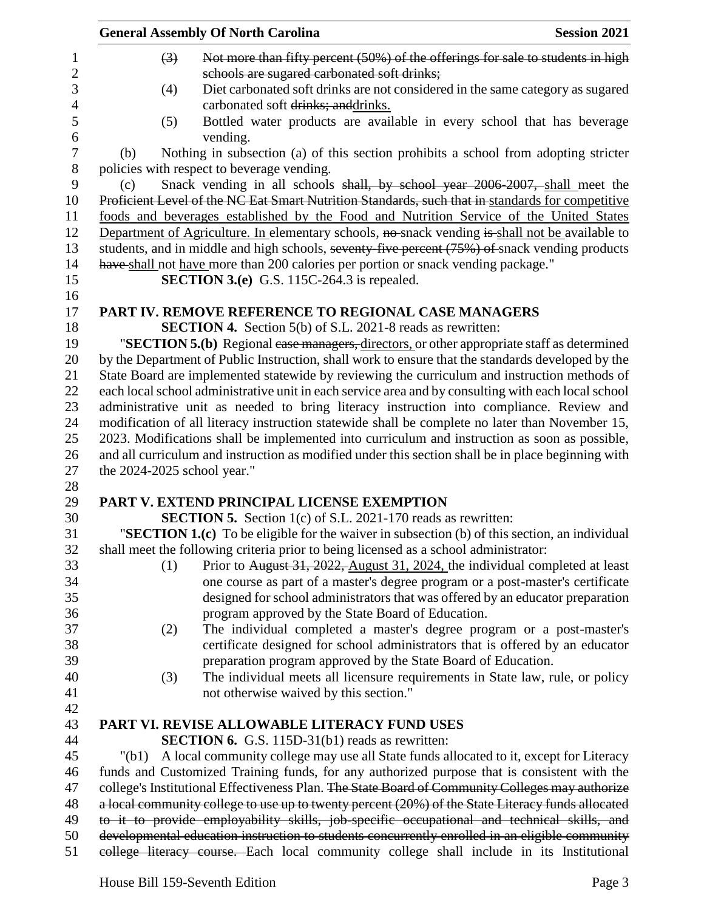| <b>General Assembly Of North Carolina</b>                                                                                                                                                       | <b>Session 2021</b> |
|-------------------------------------------------------------------------------------------------------------------------------------------------------------------------------------------------|---------------------|
| Not more than fifty percent (50%) of the offerings for sale to students in high<br>$\left(3\right)$<br>$\mathbf{1}$                                                                             |                     |
| $\boldsymbol{2}$<br>schools are sugared carbonated soft drinks;                                                                                                                                 |                     |
| 3<br>Diet carbonated soft drinks are not considered in the same category as sugared<br>(4)                                                                                                      |                     |
| carbonated soft drinks; anddrinks.                                                                                                                                                              |                     |
| Bottled water products are available in every school that has beverage<br>(5)                                                                                                                   |                     |
| vending.                                                                                                                                                                                        |                     |
| Nothing in subsection (a) of this section prohibits a school from adopting stricter<br>(b)                                                                                                      |                     |
| policies with respect to beverage vending.                                                                                                                                                      |                     |
| Snack vending in all schools shall, by school year 2006-2007, shall meet the<br>(c)                                                                                                             |                     |
| Proficient Level of the NC Eat Smart Nutrition Standards, such that in standards for competitive                                                                                                |                     |
| foods and beverages established by the Food and Nutrition Service of the United States                                                                                                          |                     |
| Department of Agriculture. In elementary schools, no snack vending is shall not be available to                                                                                                 |                     |
| students, and in middle and high schools, seventy-five percent (75%) of snack vending products                                                                                                  |                     |
| have shall not have more than 200 calories per portion or snack vending package."                                                                                                               |                     |
| <b>SECTION 3.(e)</b> G.S. 115C-264.3 is repealed.                                                                                                                                               |                     |
|                                                                                                                                                                                                 |                     |
| PART IV. REMOVE REFERENCE TO REGIONAL CASE MANAGERS                                                                                                                                             |                     |
| SECTION 4. Section 5(b) of S.L. 2021-8 reads as rewritten:                                                                                                                                      |                     |
| "SECTION 5.(b) Regional ease managers, directors, or other appropriate staff as determined<br>by the Department of Public Instruction, shall work to ensure that the standards developed by the |                     |
| State Board are implemented statewide by reviewing the curriculum and instruction methods of                                                                                                    |                     |
| each local school administrative unit in each service area and by consulting with each local school                                                                                             |                     |
| administrative unit as needed to bring literacy instruction into compliance. Review and                                                                                                         |                     |
| modification of all literacy instruction statewide shall be complete no later than November 15,                                                                                                 |                     |
| 2023. Modifications shall be implemented into curriculum and instruction as soon as possible,                                                                                                   |                     |
| and all curriculum and instruction as modified under this section shall be in place beginning with                                                                                              |                     |
| the 2024-2025 school year."                                                                                                                                                                     |                     |
|                                                                                                                                                                                                 |                     |
| PART V. EXTEND PRINCIPAL LICENSE EXEMPTION                                                                                                                                                      |                     |
| <b>SECTION 5.</b> Section 1(c) of S.L. 2021-170 reads as rewritten:                                                                                                                             |                     |
| "SECTION 1.(c) To be eligible for the waiver in subsection (b) of this section, an individual                                                                                                   |                     |
| shall meet the following criteria prior to being licensed as a school administrator:                                                                                                            |                     |
| Prior to August 31, 2022, August 31, 2024, the individual completed at least<br>(1)                                                                                                             |                     |
| one course as part of a master's degree program or a post-master's certificate                                                                                                                  |                     |
| designed for school administrators that was offered by an educator preparation                                                                                                                  |                     |
| program approved by the State Board of Education.                                                                                                                                               |                     |
| The individual completed a master's degree program or a post-master's<br>(2)                                                                                                                    |                     |
| certificate designed for school administrators that is offered by an educator                                                                                                                   |                     |
| preparation program approved by the State Board of Education.                                                                                                                                   |                     |
| The individual meets all licensure requirements in State law, rule, or policy<br>(3)                                                                                                            |                     |
| not otherwise waived by this section."                                                                                                                                                          |                     |
| PART VI. REVISE ALLOWABLE LITERACY FUND USES                                                                                                                                                    |                     |
| <b>SECTION 6.</b> G.S. 115D-31(b1) reads as rewritten:                                                                                                                                          |                     |
| A local community college may use all State funds allocated to it, except for Literacy<br>"(b1)                                                                                                 |                     |
| funds and Customized Training funds, for any authorized purpose that is consistent with the                                                                                                     |                     |
| college's Institutional Effectiveness Plan. The State Board of Community Colleges may authorize                                                                                                 |                     |
| a local community college to use up to twenty percent (20%) of the State Literacy funds allocated                                                                                               |                     |
| to it to provide employability skills, job-specific occupational and technical skills, and                                                                                                      |                     |
| developmental education instruction to students concurrently enrolled in an eligible community                                                                                                  |                     |
| college literacy course. Each local community college shall include in its Institutional                                                                                                        |                     |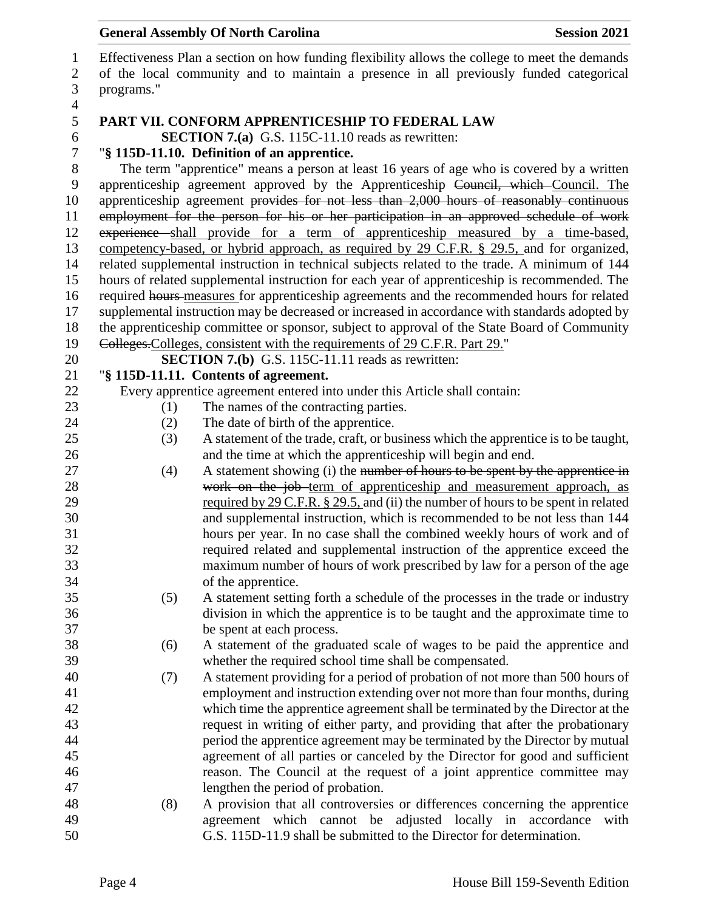| $\mathbf{1}$   |                                                                                        | Effectiveness Plan a section on how funding flexibility allows the college to meet the demands |  |  |  |
|----------------|----------------------------------------------------------------------------------------|------------------------------------------------------------------------------------------------|--|--|--|
| $\overline{2}$ | of the local community and to maintain a presence in all previously funded categorical |                                                                                                |  |  |  |
| 3              | programs."                                                                             |                                                                                                |  |  |  |
| $\overline{4}$ |                                                                                        |                                                                                                |  |  |  |
| 5              |                                                                                        | PART VII. CONFORM APPRENTICESHIP TO FEDERAL LAW                                                |  |  |  |
| 6              |                                                                                        | <b>SECTION 7.(a)</b> G.S. 115C-11.10 reads as rewritten:                                       |  |  |  |
| $\overline{7}$ |                                                                                        | "§ 115D-11.10. Definition of an apprentice.                                                    |  |  |  |
| $8\,$          |                                                                                        | The term "apprentice" means a person at least 16 years of age who is covered by a written      |  |  |  |
| 9              |                                                                                        | apprenticeship agreement approved by the Apprenticeship Council, which Council. The            |  |  |  |
|                |                                                                                        | apprenticeship agreement provides for not less than 2,000 hours of reasonably continuous       |  |  |  |
| 10             |                                                                                        |                                                                                                |  |  |  |
| 11             |                                                                                        | employment for the person for his or her participation in an approved schedule of work         |  |  |  |
| 12             |                                                                                        | experience shall provide for a term of apprenticeship measured by a time-based,                |  |  |  |
| 13             |                                                                                        | competency-based, or hybrid approach, as required by 29 C.F.R. § 29.5, and for organized,      |  |  |  |
| 14             |                                                                                        | related supplemental instruction in technical subjects related to the trade. A minimum of 144  |  |  |  |
| 15             |                                                                                        | hours of related supplemental instruction for each year of apprenticeship is recommended. The  |  |  |  |
| 16             |                                                                                        | required hours-measures for apprenticeship agreements and the recommended hours for related    |  |  |  |
| 17             |                                                                                        | supplemental instruction may be decreased or increased in accordance with standards adopted by |  |  |  |
| 18             |                                                                                        | the apprenticeship committee or sponsor, subject to approval of the State Board of Community   |  |  |  |
| 19             |                                                                                        | Colleges. Colleges, consistent with the requirements of 29 C.F.R. Part 29."                    |  |  |  |
| 20             |                                                                                        | SECTION 7.(b) G.S. 115C-11.11 reads as rewritten:                                              |  |  |  |
| 21             |                                                                                        | "§ 115D-11.11. Contents of agreement.                                                          |  |  |  |
| 22             |                                                                                        | Every apprentice agreement entered into under this Article shall contain:                      |  |  |  |
| 23             | (1)                                                                                    | The names of the contracting parties.                                                          |  |  |  |
| 24             | (2)                                                                                    | The date of birth of the apprentice.                                                           |  |  |  |
| 25             | (3)                                                                                    | A statement of the trade, craft, or business which the apprentice is to be taught,             |  |  |  |
| 26             |                                                                                        | and the time at which the apprenticeship will begin and end.                                   |  |  |  |
| 27             | (4)                                                                                    | A statement showing (i) the number of hours to be spent by the apprentice in                   |  |  |  |
| 28             |                                                                                        | work on the job-term of apprenticeship and measurement approach, as                            |  |  |  |
| 29             |                                                                                        | required by 29 C.F.R. $\S 29.5$ , and (ii) the number of hours to be spent in related          |  |  |  |
| 30             |                                                                                        | and supplemental instruction, which is recommended to be not less than 144                     |  |  |  |
| 31             |                                                                                        |                                                                                                |  |  |  |
| 32             |                                                                                        | hours per year. In no case shall the combined weekly hours of work and of                      |  |  |  |
|                |                                                                                        | required related and supplemental instruction of the apprentice exceed the                     |  |  |  |
| 33             |                                                                                        | maximum number of hours of work prescribed by law for a person of the age                      |  |  |  |
| 34             |                                                                                        | of the apprentice.                                                                             |  |  |  |
| 35             | (5)                                                                                    | A statement setting forth a schedule of the processes in the trade or industry                 |  |  |  |
| 36             |                                                                                        | division in which the apprentice is to be taught and the approximate time to                   |  |  |  |
| 37             |                                                                                        | be spent at each process.                                                                      |  |  |  |
| 38             | (6)                                                                                    | A statement of the graduated scale of wages to be paid the apprentice and                      |  |  |  |
| 39             |                                                                                        | whether the required school time shall be compensated.                                         |  |  |  |
| 40             | (7)                                                                                    | A statement providing for a period of probation of not more than 500 hours of                  |  |  |  |
| 41             |                                                                                        | employment and instruction extending over not more than four months, during                    |  |  |  |
| 42             |                                                                                        | which time the apprentice agreement shall be terminated by the Director at the                 |  |  |  |
| 43             |                                                                                        | request in writing of either party, and providing that after the probationary                  |  |  |  |
| 44             |                                                                                        | period the apprentice agreement may be terminated by the Director by mutual                    |  |  |  |
| 45             |                                                                                        | agreement of all parties or canceled by the Director for good and sufficient                   |  |  |  |
| 46             |                                                                                        | reason. The Council at the request of a joint apprentice committee may                         |  |  |  |
| 47             |                                                                                        | lengthen the period of probation.                                                              |  |  |  |
| 48             | (8)                                                                                    | A provision that all controversies or differences concerning the apprentice                    |  |  |  |
| 49             |                                                                                        | agreement which cannot be adjusted locally in accordance<br>with                               |  |  |  |
| 50             |                                                                                        | G.S. 115D-11.9 shall be submitted to the Director for determination.                           |  |  |  |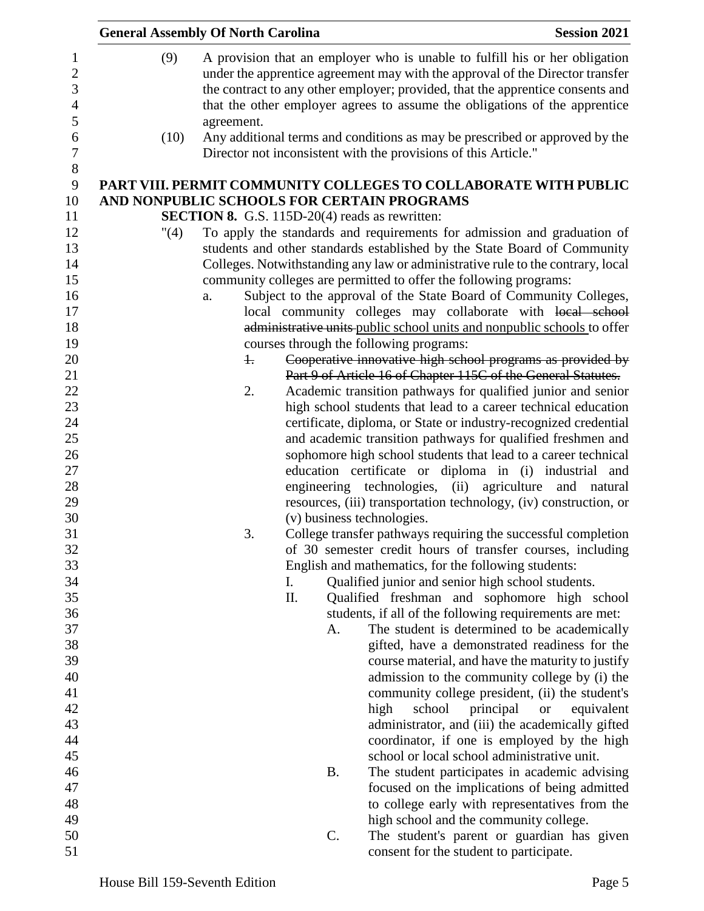|                      | <b>General Assembly Of North Carolina</b>             |                 | <b>Session 2021</b>                                                                                                                                          |
|----------------------|-------------------------------------------------------|-----------------|--------------------------------------------------------------------------------------------------------------------------------------------------------------|
| (9)                  |                                                       |                 | A provision that an employer who is unable to fulfill his or her obligation<br>under the apprentice agreement may with the approval of the Director transfer |
|                      |                                                       |                 | the contract to any other employer; provided, that the apprentice consents and<br>that the other employer agrees to assume the obligations of the apprentice |
|                      | agreement.                                            |                 |                                                                                                                                                              |
| (10)                 |                                                       |                 | Any additional terms and conditions as may be prescribed or approved by the<br>Director not inconsistent with the provisions of this Article."               |
|                      |                                                       |                 | PART VIII. PERMIT COMMUNITY COLLEGES TO COLLABORATE WITH PUBLIC                                                                                              |
|                      | AND NONPUBLIC SCHOOLS FOR CERTAIN PROGRAMS            |                 |                                                                                                                                                              |
|                      | <b>SECTION 8.</b> G.S. 115D-20(4) reads as rewritten: |                 |                                                                                                                                                              |
| $^{\prime\prime}(4)$ |                                                       |                 | To apply the standards and requirements for admission and graduation of                                                                                      |
|                      |                                                       |                 | students and other standards established by the State Board of Community                                                                                     |
|                      |                                                       |                 | Colleges. Notwithstanding any law or administrative rule to the contrary, local                                                                              |
|                      |                                                       |                 | community colleges are permitted to offer the following programs:                                                                                            |
|                      | a.                                                    |                 | Subject to the approval of the State Board of Community Colleges,                                                                                            |
|                      |                                                       |                 | local community colleges may collaborate with local school                                                                                                   |
|                      |                                                       |                 | administrative units public school units and nonpublic schools to offer                                                                                      |
|                      |                                                       |                 | courses through the following programs:                                                                                                                      |
|                      | $\ddagger$                                            |                 | Cooperative innovative high school programs as provided by                                                                                                   |
|                      |                                                       |                 | Part 9 of Article 16 of Chapter 115C of the General Statutes.                                                                                                |
|                      | 2.                                                    |                 | Academic transition pathways for qualified junior and senior                                                                                                 |
|                      |                                                       |                 | high school students that lead to a career technical education                                                                                               |
|                      |                                                       |                 | certificate, diploma, or State or industry-recognized credential                                                                                             |
|                      |                                                       |                 | and academic transition pathways for qualified freshmen and                                                                                                  |
|                      |                                                       |                 | sophomore high school students that lead to a career technical                                                                                               |
|                      |                                                       |                 | education certificate or diploma in (i) industrial<br>and                                                                                                    |
|                      |                                                       |                 | engineering technologies, (ii) agriculture and natural                                                                                                       |
|                      |                                                       |                 | resources, (iii) transportation technology, (iv) construction, or                                                                                            |
|                      |                                                       |                 | (v) business technologies.                                                                                                                                   |
|                      | 3.                                                    |                 | College transfer pathways requiring the successful completion                                                                                                |
|                      |                                                       |                 | of 30 semester credit hours of transfer courses, including                                                                                                   |
|                      |                                                       |                 | English and mathematics, for the following students:                                                                                                         |
|                      | I.                                                    |                 | Qualified junior and senior high school students.                                                                                                            |
|                      | II.                                                   |                 | Qualified freshman and sophomore high school                                                                                                                 |
|                      |                                                       |                 | students, if all of the following requirements are met:                                                                                                      |
|                      |                                                       | А.              | The student is determined to be academically                                                                                                                 |
|                      |                                                       |                 | gifted, have a demonstrated readiness for the                                                                                                                |
|                      |                                                       |                 | course material, and have the maturity to justify                                                                                                            |
|                      |                                                       |                 | admission to the community college by (i) the<br>community college president, (ii) the student's                                                             |
|                      |                                                       |                 | school<br>principal<br><b>or</b><br>equivalent                                                                                                               |
|                      |                                                       |                 | high                                                                                                                                                         |
|                      |                                                       |                 | administrator, and (iii) the academically gifted<br>coordinator, if one is employed by the high                                                              |
|                      |                                                       |                 | school or local school administrative unit.                                                                                                                  |
|                      |                                                       | <b>B.</b>       | The student participates in academic advising                                                                                                                |
|                      |                                                       |                 | focused on the implications of being admitted                                                                                                                |
|                      |                                                       |                 | to college early with representatives from the                                                                                                               |
|                      |                                                       |                 | high school and the community college.                                                                                                                       |
|                      |                                                       | $\mathcal{C}$ . | The student's parent or guardian has given                                                                                                                   |
|                      |                                                       |                 | consent for the student to participate.                                                                                                                      |
|                      |                                                       |                 |                                                                                                                                                              |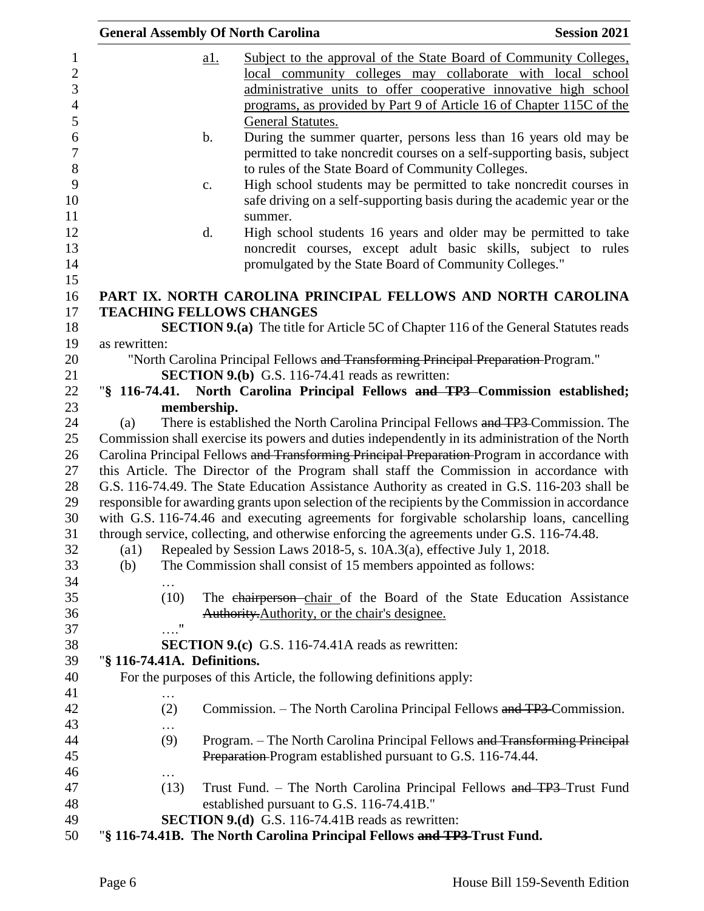|                                                                                                                                                                                              |               | <b>General Assembly Of North Carolina</b>                                                                                      | <b>Session 2021</b> |
|----------------------------------------------------------------------------------------------------------------------------------------------------------------------------------------------|---------------|--------------------------------------------------------------------------------------------------------------------------------|---------------------|
|                                                                                                                                                                                              | <u>a1.</u>    | Subject to the approval of the State Board of Community Colleges,                                                              |                     |
|                                                                                                                                                                                              |               | local community colleges may collaborate with local school<br>administrative units to offer cooperative innovative high school |                     |
|                                                                                                                                                                                              |               | programs, as provided by Part 9 of Article 16 of Chapter 115C of the                                                           |                     |
|                                                                                                                                                                                              |               | General Statutes.                                                                                                              |                     |
|                                                                                                                                                                                              | $\mathbf b$ . | During the summer quarter, persons less than 16 years old may be                                                               |                     |
|                                                                                                                                                                                              |               | permitted to take noncredit courses on a self-supporting basis, subject                                                        |                     |
|                                                                                                                                                                                              |               | to rules of the State Board of Community Colleges.                                                                             |                     |
|                                                                                                                                                                                              | c.            | High school students may be permitted to take noncredit courses in                                                             |                     |
|                                                                                                                                                                                              |               | safe driving on a self-supporting basis during the academic year or the                                                        |                     |
|                                                                                                                                                                                              |               | summer.                                                                                                                        |                     |
|                                                                                                                                                                                              | d.            | High school students 16 years and older may be permitted to take                                                               |                     |
|                                                                                                                                                                                              |               | noncredit courses, except adult basic skills, subject to rules                                                                 |                     |
|                                                                                                                                                                                              |               | promulgated by the State Board of Community Colleges."                                                                         |                     |
|                                                                                                                                                                                              |               | PART IX. NORTH CAROLINA PRINCIPAL FELLOWS AND NORTH CAROLINA                                                                   |                     |
|                                                                                                                                                                                              |               | <b>TEACHING FELLOWS CHANGES</b>                                                                                                |                     |
|                                                                                                                                                                                              |               | <b>SECTION 9.(a)</b> The title for Article 5C of Chapter 116 of the General Statutes reads                                     |                     |
| as rewritten:                                                                                                                                                                                |               |                                                                                                                                |                     |
|                                                                                                                                                                                              |               | "North Carolina Principal Fellows and Transforming Principal Preparation-Program."                                             |                     |
|                                                                                                                                                                                              |               | <b>SECTION 9.(b)</b> G.S. 116-74.41 reads as rewritten:                                                                        |                     |
|                                                                                                                                                                                              |               | "§ 116-74.41. North Carolina Principal Fellows and TP3 Commission established;                                                 |                     |
|                                                                                                                                                                                              | membership.   |                                                                                                                                |                     |
| There is established the North Carolina Principal Fellows and TP3 Commission. The<br>(a)<br>Commission shall exercise its powers and duties independently in its administration of the North |               |                                                                                                                                |                     |
|                                                                                                                                                                                              |               | Carolina Principal Fellows and Transforming Principal Preparation Program in accordance with                                   |                     |
|                                                                                                                                                                                              |               | this Article. The Director of the Program shall staff the Commission in accordance with                                        |                     |
|                                                                                                                                                                                              |               | G.S. 116-74.49. The State Education Assistance Authority as created in G.S. 116-203 shall be                                   |                     |
|                                                                                                                                                                                              |               | responsible for awarding grants upon selection of the recipients by the Commission in accordance                               |                     |
|                                                                                                                                                                                              |               | with G.S. 116-74.46 and executing agreements for forgivable scholarship loans, cancelling                                      |                     |
|                                                                                                                                                                                              |               | through service, collecting, and otherwise enforcing the agreements under G.S. 116-74.48.                                      |                     |
| $\left( \text{a1}\right)$                                                                                                                                                                    |               | Repealed by Session Laws 2018-5, s. 10A.3(a), effective July 1, 2018.                                                          |                     |
| (b)                                                                                                                                                                                          |               | The Commission shall consist of 15 members appointed as follows:                                                               |                     |
| .                                                                                                                                                                                            |               |                                                                                                                                |                     |
| (10)                                                                                                                                                                                         |               | The chairperson chair of the Board of the State Education Assistance                                                           |                     |
|                                                                                                                                                                                              |               | Authority. Authority, or the chair's designee.                                                                                 |                     |
| $\ldots$ "                                                                                                                                                                                   |               |                                                                                                                                |                     |
|                                                                                                                                                                                              |               | <b>SECTION 9.(c)</b> G.S. 116-74.41A reads as rewritten:                                                                       |                     |
| "§ 116-74.41A. Definitions.                                                                                                                                                                  |               |                                                                                                                                |                     |
|                                                                                                                                                                                              |               | For the purposes of this Article, the following definitions apply:                                                             |                     |
| .<br>(2)                                                                                                                                                                                     |               | Commission. – The North Carolina Principal Fellows and TP3 Commission.                                                         |                     |
|                                                                                                                                                                                              |               |                                                                                                                                |                     |
| (9)                                                                                                                                                                                          |               | Program. - The North Carolina Principal Fellows and Transforming Principal                                                     |                     |
|                                                                                                                                                                                              |               | Preparation-Program established pursuant to G.S. 116-74.44.                                                                    |                     |
| .                                                                                                                                                                                            |               |                                                                                                                                |                     |
| (13)                                                                                                                                                                                         |               | Trust Fund. - The North Carolina Principal Fellows and TP3-Trust Fund                                                          |                     |
|                                                                                                                                                                                              |               | established pursuant to G.S. 116-74.41B."                                                                                      |                     |
|                                                                                                                                                                                              |               | <b>SECTION 9.(d)</b> G.S. 116-74.41B reads as rewritten:                                                                       |                     |
|                                                                                                                                                                                              |               | "§ 116-74.41B. The North Carolina Principal Fellows and TP3-Trust Fund.                                                        |                     |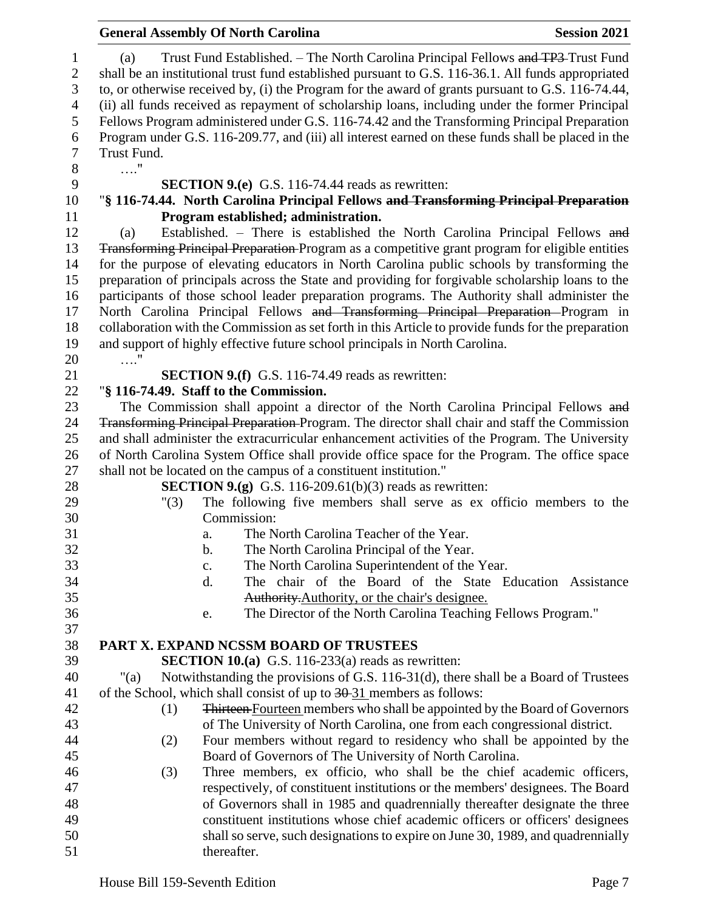|                        |                                                                                                                                                                                                 | <b>General Assembly Of North Carolina</b>                                                                                                                                                                                                                                                    | <b>Session 2021</b> |  |
|------------------------|-------------------------------------------------------------------------------------------------------------------------------------------------------------------------------------------------|----------------------------------------------------------------------------------------------------------------------------------------------------------------------------------------------------------------------------------------------------------------------------------------------|---------------------|--|
| 1<br>$\mathbf{2}$<br>3 | (a)                                                                                                                                                                                             | Trust Fund Established. - The North Carolina Principal Fellows and TP3-Trust Fund<br>shall be an institutional trust fund established pursuant to G.S. 116-36.1. All funds appropriated<br>to, or otherwise received by, (i) the Program for the award of grants pursuant to G.S. 116-74.44, |                     |  |
| $\overline{4}$<br>5    | (ii) all funds received as repayment of scholarship loans, including under the former Principal<br>Fellows Program administered under G.S. 116-74.42 and the Transforming Principal Preparation |                                                                                                                                                                                                                                                                                              |                     |  |
| 6                      |                                                                                                                                                                                                 | Program under G.S. 116-209.77, and (iii) all interest earned on these funds shall be placed in the                                                                                                                                                                                           |                     |  |
| $\tau$                 | Trust Fund.                                                                                                                                                                                     |                                                                                                                                                                                                                                                                                              |                     |  |
| $8\,$                  | $\ldots$ "                                                                                                                                                                                      |                                                                                                                                                                                                                                                                                              |                     |  |
| 9                      |                                                                                                                                                                                                 | <b>SECTION 9.(e)</b> G.S. 116-74.44 reads as rewritten:                                                                                                                                                                                                                                      |                     |  |
| 10                     |                                                                                                                                                                                                 | "§ 116-74.44. North Carolina Principal Fellows and Transforming Principal Preparation                                                                                                                                                                                                        |                     |  |
| 11                     |                                                                                                                                                                                                 | Program established; administration.                                                                                                                                                                                                                                                         |                     |  |
| 12                     | (a)                                                                                                                                                                                             | Established. - There is established the North Carolina Principal Fellows and                                                                                                                                                                                                                 |                     |  |
| 13                     |                                                                                                                                                                                                 | <b>Transforming Principal Preparation-Program as a competitive grant program for eligible entities</b>                                                                                                                                                                                       |                     |  |
| 14                     |                                                                                                                                                                                                 | for the purpose of elevating educators in North Carolina public schools by transforming the                                                                                                                                                                                                  |                     |  |
| 15                     |                                                                                                                                                                                                 | preparation of principals across the State and providing for forgivable scholarship loans to the                                                                                                                                                                                             |                     |  |
| 16                     |                                                                                                                                                                                                 | participants of those school leader preparation programs. The Authority shall administer the                                                                                                                                                                                                 |                     |  |
| 17                     |                                                                                                                                                                                                 | North Carolina Principal Fellows and Transforming Principal Preparation Program in                                                                                                                                                                                                           |                     |  |
| 18                     |                                                                                                                                                                                                 | collaboration with the Commission as set forth in this Article to provide funds for the preparation                                                                                                                                                                                          |                     |  |
| 19                     |                                                                                                                                                                                                 | and support of highly effective future school principals in North Carolina.                                                                                                                                                                                                                  |                     |  |
| 20                     | . "                                                                                                                                                                                             |                                                                                                                                                                                                                                                                                              |                     |  |
| 21                     |                                                                                                                                                                                                 | <b>SECTION 9.(f)</b> G.S. 116-74.49 reads as rewritten:                                                                                                                                                                                                                                      |                     |  |
| 22                     |                                                                                                                                                                                                 | "§ 116-74.49. Staff to the Commission.                                                                                                                                                                                                                                                       |                     |  |
| 23<br>24               |                                                                                                                                                                                                 | The Commission shall appoint a director of the North Carolina Principal Fellows and<br><b>Transforming Principal Preparation-Program.</b> The director shall chair and staff the Commission                                                                                                  |                     |  |
| 25                     |                                                                                                                                                                                                 | and shall administer the extracurricular enhancement activities of the Program. The University                                                                                                                                                                                               |                     |  |
| 26                     |                                                                                                                                                                                                 | of North Carolina System Office shall provide office space for the Program. The office space                                                                                                                                                                                                 |                     |  |
| 27                     |                                                                                                                                                                                                 | shall not be located on the campus of a constituent institution."                                                                                                                                                                                                                            |                     |  |
| 28                     |                                                                                                                                                                                                 | <b>SECTION 9.(g)</b> G.S. 116-209.61(b)(3) reads as rewritten:                                                                                                                                                                                                                               |                     |  |
| 29                     | "(3)                                                                                                                                                                                            | The following five members shall serve as ex officio members to the                                                                                                                                                                                                                          |                     |  |
| 30                     |                                                                                                                                                                                                 | Commission:                                                                                                                                                                                                                                                                                  |                     |  |
| 31                     |                                                                                                                                                                                                 | The North Carolina Teacher of the Year.<br>a.                                                                                                                                                                                                                                                |                     |  |
| 32                     |                                                                                                                                                                                                 | The North Carolina Principal of the Year.<br>b.                                                                                                                                                                                                                                              |                     |  |
| 33                     |                                                                                                                                                                                                 | The North Carolina Superintendent of the Year.<br>c.                                                                                                                                                                                                                                         |                     |  |
| 34                     |                                                                                                                                                                                                 | The chair of the Board of the State Education Assistance<br>d.                                                                                                                                                                                                                               |                     |  |
| 35                     |                                                                                                                                                                                                 | Authority. Authority, or the chair's designee.                                                                                                                                                                                                                                               |                     |  |
| 36                     |                                                                                                                                                                                                 | The Director of the North Carolina Teaching Fellows Program."<br>e.                                                                                                                                                                                                                          |                     |  |
| 37                     |                                                                                                                                                                                                 |                                                                                                                                                                                                                                                                                              |                     |  |
| 38                     |                                                                                                                                                                                                 | PART X. EXPAND NCSSM BOARD OF TRUSTEES                                                                                                                                                                                                                                                       |                     |  |
| 39                     |                                                                                                                                                                                                 | SECTION 10.(a) G.S. 116-233(a) reads as rewritten:                                                                                                                                                                                                                                           |                     |  |
| 40                     | Notwithstanding the provisions of G.S. 116-31(d), there shall be a Board of Trustees<br>"(a)                                                                                                    |                                                                                                                                                                                                                                                                                              |                     |  |
| 41                     | of the School, which shall consist of up to $\frac{30-31}{10}$ members as follows:                                                                                                              |                                                                                                                                                                                                                                                                                              |                     |  |
| 42                     | (1)                                                                                                                                                                                             | <b>Thirteen-Fourteen members who shall be appointed by the Board of Governors</b>                                                                                                                                                                                                            |                     |  |
| 43                     |                                                                                                                                                                                                 | of The University of North Carolina, one from each congressional district.                                                                                                                                                                                                                   |                     |  |
| 44                     | (2)                                                                                                                                                                                             | Four members without regard to residency who shall be appointed by the                                                                                                                                                                                                                       |                     |  |
| 45                     |                                                                                                                                                                                                 | Board of Governors of The University of North Carolina.                                                                                                                                                                                                                                      |                     |  |
| 46                     | (3)                                                                                                                                                                                             | Three members, ex officio, who shall be the chief academic officers,                                                                                                                                                                                                                         |                     |  |
| 47<br>48               |                                                                                                                                                                                                 | respectively, of constituent institutions or the members' designees. The Board                                                                                                                                                                                                               |                     |  |
| 49                     |                                                                                                                                                                                                 | of Governors shall in 1985 and quadrennially thereafter designate the three<br>constituent institutions whose chief academic officers or officers' designees                                                                                                                                 |                     |  |
| 50                     |                                                                                                                                                                                                 | shall so serve, such designations to expire on June 30, 1989, and quadrennially                                                                                                                                                                                                              |                     |  |
| 51                     |                                                                                                                                                                                                 | thereafter.                                                                                                                                                                                                                                                                                  |                     |  |
|                        |                                                                                                                                                                                                 |                                                                                                                                                                                                                                                                                              |                     |  |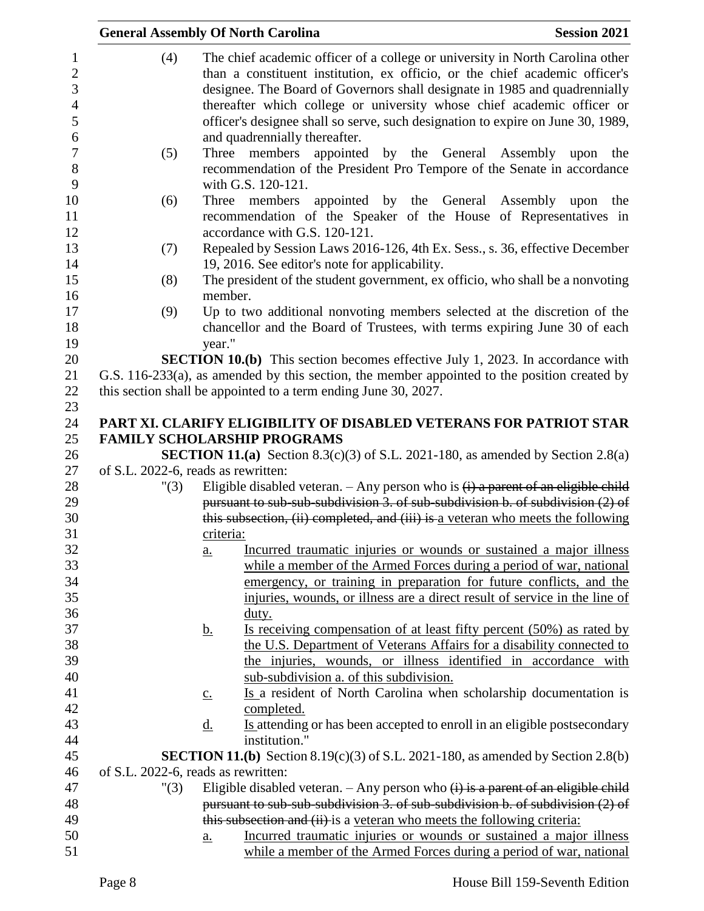| <b>Session 2021</b><br><b>General Assembly Of North Carolina</b>                                                                                                                                                                                                                                                                                                                                                                                |
|-------------------------------------------------------------------------------------------------------------------------------------------------------------------------------------------------------------------------------------------------------------------------------------------------------------------------------------------------------------------------------------------------------------------------------------------------|
| The chief academic officer of a college or university in North Carolina other<br>(4)<br>than a constituent institution, ex officio, or the chief academic officer's<br>designee. The Board of Governors shall designate in 1985 and quadrennially<br>thereafter which college or university whose chief academic officer or<br>officer's designee shall so serve, such designation to expire on June 30, 1989,<br>and quadrennially thereafter. |
| appointed by the General Assembly upon the<br>(5)<br>Three members<br>recommendation of the President Pro Tempore of the Senate in accordance<br>with G.S. 120-121.                                                                                                                                                                                                                                                                             |
| appointed by the General Assembly upon the<br>Three members<br>(6)<br>recommendation of the Speaker of the House of Representatives in<br>accordance with G.S. 120-121.                                                                                                                                                                                                                                                                         |
| Repealed by Session Laws 2016-126, 4th Ex. Sess., s. 36, effective December<br>(7)<br>19, 2016. See editor's note for applicability.                                                                                                                                                                                                                                                                                                            |
| The president of the student government, ex officio, who shall be a nonvoting<br>(8)<br>member.                                                                                                                                                                                                                                                                                                                                                 |
| Up to two additional nonvoting members selected at the discretion of the<br>(9)<br>chancellor and the Board of Trustees, with terms expiring June 30 of each<br>year."                                                                                                                                                                                                                                                                          |
| <b>SECTION 10.(b)</b> This section becomes effective July 1, 2023. In accordance with<br>G.S. 116-233(a), as amended by this section, the member appointed to the position created by<br>this section shall be appointed to a term ending June 30, 2027.                                                                                                                                                                                        |
| PART XI. CLARIFY ELIGIBILITY OF DISABLED VETERANS FOR PATRIOT STAR<br><b>FAMILY SCHOLARSHIP PROGRAMS</b>                                                                                                                                                                                                                                                                                                                                        |
| <b>SECTION 11.(a)</b> Section 8.3(c)(3) of S.L. 2021-180, as amended by Section 2.8(a)                                                                                                                                                                                                                                                                                                                                                          |
| of S.L. 2022-6, reads as rewritten:<br>Eligible disabled veteran. $-$ Any person who is $(i)$ a parent of an eligible child<br>"(3)<br>pursuant to sub-sub-subdivision 3. of sub-subdivision b. of subdivision (2) of                                                                                                                                                                                                                           |
| this subsection, (ii) completed, and (iii) is a veteran who meets the following<br>criteria:                                                                                                                                                                                                                                                                                                                                                    |
| Incurred traumatic injuries or wounds or sustained a major illness<br>a.<br>while a member of the Armed Forces during a period of war, national<br>emergency, or training in preparation for future conflicts, and the<br>injuries, wounds, or illness are a direct result of service in the line of                                                                                                                                            |
| duty.<br>Is receiving compensation of at least fifty percent (50%) as rated by<br><u>b.</u><br>the U.S. Department of Veterans Affairs for a disability connected to                                                                                                                                                                                                                                                                            |
| the injuries, wounds, or illness identified in accordance with<br>sub-subdivision a. of this subdivision.                                                                                                                                                                                                                                                                                                                                       |
| Is a resident of North Carolina when scholarship documentation is<br>$\underline{C}$ .<br>completed.                                                                                                                                                                                                                                                                                                                                            |
| Is attending or has been accepted to enroll in an eligible postsecondary<br><u>d.</u><br>institution."<br><b>SECTION 11.(b)</b> Section 8.19(c)(3) of S.L. 2021-180, as amended by Section 2.8(b)                                                                                                                                                                                                                                               |
| of S.L. 2022-6, reads as rewritten:                                                                                                                                                                                                                                                                                                                                                                                                             |
| Eligible disabled veteran. $-$ Any person who $(i)$ is a parent of an eligible child<br>"(3)<br>pursuant to sub-sub-subdivision 3. of sub-subdivision b. of subdivision (2) of                                                                                                                                                                                                                                                                  |
| this subsection and (ii) is a veteran who meets the following criteria:                                                                                                                                                                                                                                                                                                                                                                         |
| Incurred traumatic injuries or wounds or sustained a major illness<br><u>a.</u>                                                                                                                                                                                                                                                                                                                                                                 |
| while a member of the Armed Forces during a period of war, national                                                                                                                                                                                                                                                                                                                                                                             |